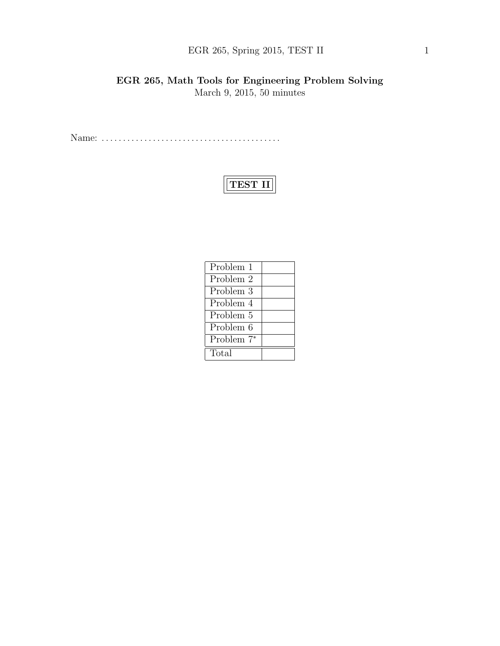## EGR 265, Spring 2015, TEST II 1

## EGR 265, Math Tools for Engineering Problem Solving March 9, 2015, 50 minutes

Name: . . . . . . . . . . . . . . . . . . . . . . . . . . . . . . . . . . . . . . . . . .

# TEST II

| Problem 1              |  |
|------------------------|--|
| Problem 2              |  |
| Problem 3              |  |
| Problem 4              |  |
| Problem 5              |  |
| Problem 6              |  |
| Problem 7 <sup>*</sup> |  |
| Total                  |  |
|                        |  |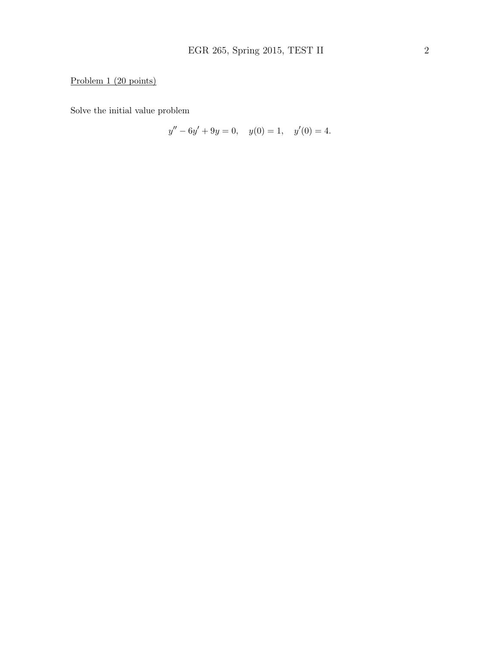## Problem 1 (20 points)

Solve the initial value problem

$$
y'' - 6y' + 9y = 0, \quad y(0) = 1, \quad y'(0) = 4.
$$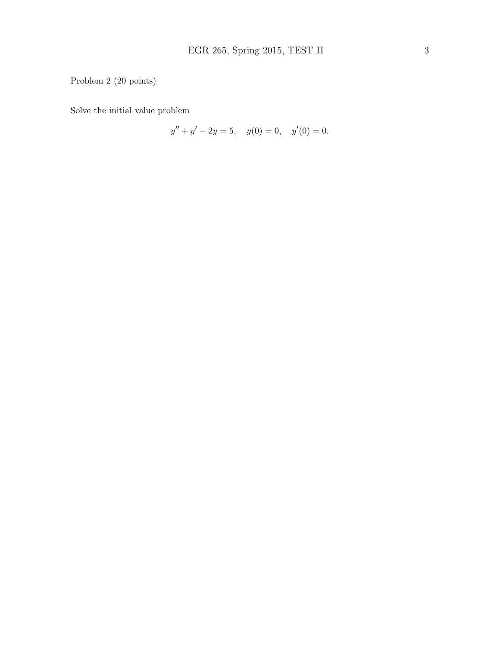## Problem 2 (20 points)

Solve the initial value problem

$$
y'' + y' - 2y = 5, \quad y(0) = 0, \quad y'(0) = 0.
$$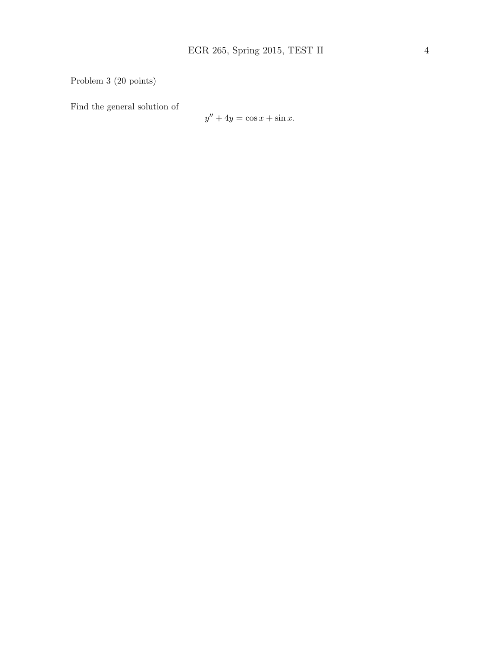Problem 3 (20 points)

Find the general solution of

$$
y'' + 4y = \cos x + \sin x.
$$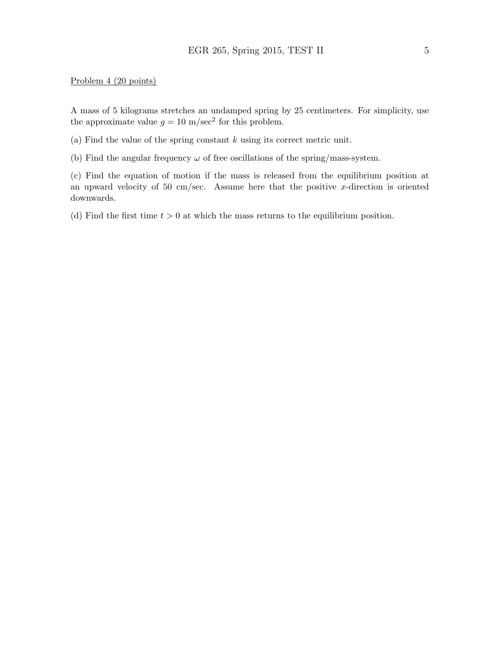#### Problem 4 (20 points)

A mass of 5 kilograms stretches an undamped spring by 25 centimeters. For simplicity, use the approximate value  $g = 10 \text{ m/sec}^2$  for this problem.

(a) Find the value of the spring constant  $k$  using its correct metric unit.

(b) Find the angular frequency  $\omega$  of free oscillations of the spring/mass-system.

(c) Find the equation of motion if the mass is released from the equilibrium position at an upward velocity of 50 cm/sec. Assume here that the positive x-direction is oriented downwards.

(d) Find the first time  $t > 0$  at which the mass returns to the equilibrium position.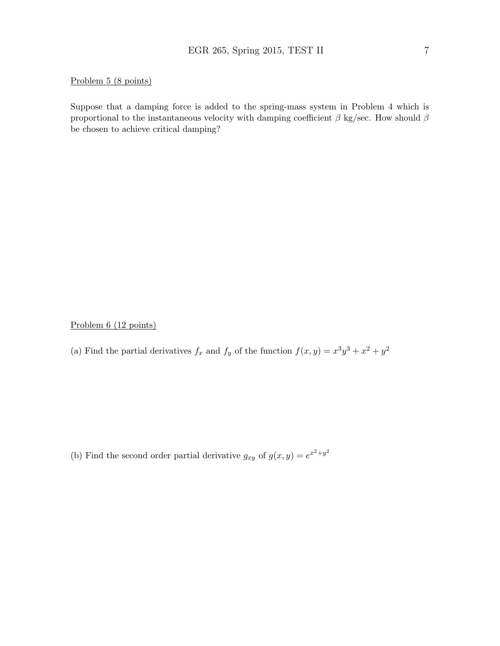#### Problem 5 (8 points)

Suppose that a damping force is added to the spring-mass system in Problem 4 which is proportional to the instantaneous velocity with damping coefficient  $\beta$  kg/sec. How should  $\beta$ be chosen to achieve critical damping?

Problem 6 (12 points)

(a) Find the partial derivatives  $f_x$  and  $f_y$  of the function  $f(x, y) = x^3y^3 + x^2 + y^2$ 

(b) Find the second order partial derivative  $g_{xy}$  of  $g(x, y) = e^{x^2 + y^2}$